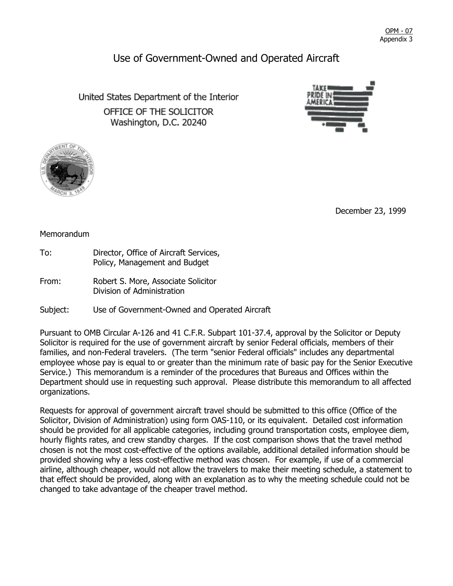<u>OPM - 07</u> Appendix 3

## Use of Government-Owned and Operated Aircraft

United States Department of the Interior OFFICE OF THE SOLICITOR Washington, D.C. 20240





December 23, 1999

## **Memorandum**

- To: Director, Office of Aircraft Services, Policy, Management and Budget
- From: Robert S. More, Associate Solicitor Division of Administration

Subject: Use of Government-Owned and Operated Aircraft

Pursuant to OMB Circular A-126 and 41 C.F.R. Subpart 101-37.4, approval by the Solicitor or Deputy Solicitor is required for the use of government aircraft by senior Federal officials, members of their families, and non-Federal travelers. (The term "senior Federal officials" includes any departmental employee whose pay is equal to or greater than the minimum rate of basic pay for the Senior Executive Service.) This memorandum is a reminder of the procedures that Bureaus and Offices within the Department should use in requesting such approval. Please distribute this memorandum to all affected organizations.

Requests for approval of government aircraft travel should be submitted to this office (Office of the Solicitor, Division of Administration) using form OAS-110, or its equivalent. Detailed cost information should be provided for all applicable categories, including ground transportation costs, employee diem, hourly flights rates, and crew standby charges. If the cost comparison shows that the travel method chosen is not the most cost-effective of the options available, additional detailed information should be provided showing why a less cost-effective method was chosen. For example, if use of a commercial airline, although cheaper, would not allow the travelers to make their meeting schedule, a statement to that effect should be provided, along with an explanation as to why the meeting schedule could not be changed to take advantage of the cheaper travel method.